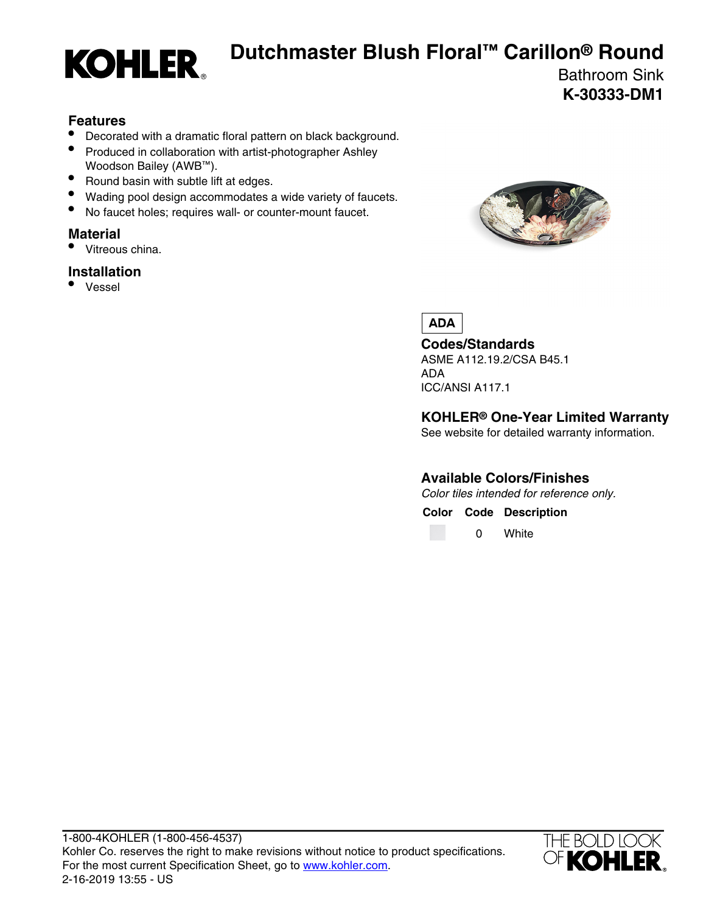

## **Dutchmaster Blush Floral™ Carillon® Round**

Bathroom Sink **K-30333-DM1**

#### **Features**

- Decorated with a dramatic floral pattern on black background.
- Produced in collaboration with artist-photographer Ashley Woodson Bailey (AWB<sup>™</sup>).
- Round basin with subtle lift at edges.
- Wading pool design accommodates a wide variety of faucets.
- No faucet holes; requires wall- or counter-mount faucet.

### **Material**

• Vitreous china.

### **Installation**

• Vessel



**ADA** 

**Codes/Standards** ASME A112.19.2/CSA B45.1 ADA

ICC/ANSI A117.1

**KOHLER® One-Year Limited Warranty**

See website for detailed warranty information.

#### **Available Colors/Finishes**

Color tiles intended for reference only.

**Color Code Description**

0 White